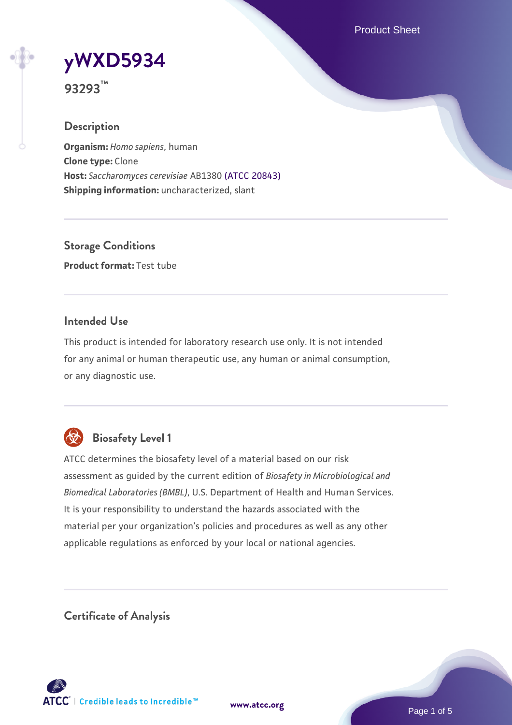Product Sheet

# **[yWXD5934](https://www.atcc.org/products/93293)**

**93293™**

# **Description**

**Organism:** *Homo sapiens*, human **Clone type:** Clone **Host:** *Saccharomyces cerevisiae* AB1380 [\(ATCC 20843\)](https://www.atcc.org/products/20843) **Shipping information:** uncharacterized, slant

**Storage Conditions Product format:** Test tube

# **Intended Use**

This product is intended for laboratory research use only. It is not intended for any animal or human therapeutic use, any human or animal consumption, or any diagnostic use.



# **Biosafety Level 1**

ATCC determines the biosafety level of a material based on our risk assessment as guided by the current edition of *Biosafety in Microbiological and Biomedical Laboratories (BMBL)*, U.S. Department of Health and Human Services. It is your responsibility to understand the hazards associated with the material per your organization's policies and procedures as well as any other applicable regulations as enforced by your local or national agencies.

**Certificate of Analysis**

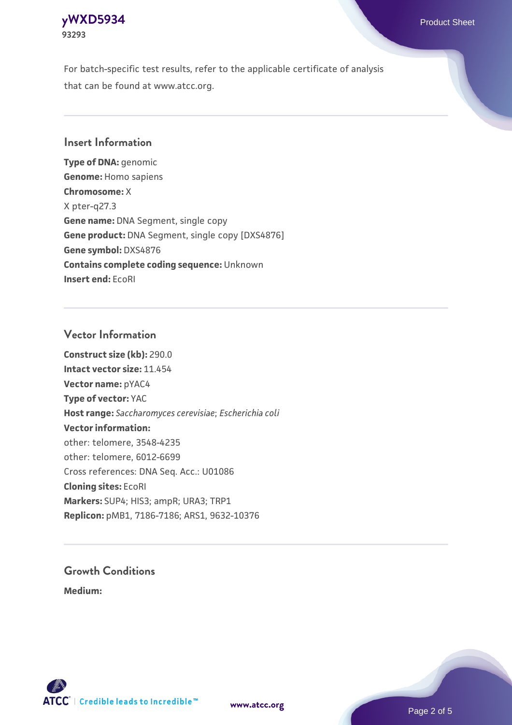# **[yWXD5934](https://www.atcc.org/products/93293)** Product Sheet **93293**

For batch-specific test results, refer to the applicable certificate of analysis that can be found at www.atcc.org.

# **Insert Information**

**Type of DNA:** genomic **Genome:** Homo sapiens **Chromosome:** X X pter-q27.3 **Gene name:** DNA Segment, single copy **Gene product:** DNA Segment, single copy [DXS4876] **Gene symbol:** DXS4876 **Contains complete coding sequence:** Unknown **Insert end:** EcoRI

# **Vector Information**

**Construct size (kb):** 290.0 **Intact vector size:** 11.454 **Vector name:** pYAC4 **Type of vector:** YAC **Host range:** *Saccharomyces cerevisiae*; *Escherichia coli* **Vector information:** other: telomere, 3548-4235 other: telomere, 6012-6699 Cross references: DNA Seq. Acc.: U01086 **Cloning sites:** EcoRI **Markers:** SUP4; HIS3; ampR; URA3; TRP1 **Replicon:** pMB1, 7186-7186; ARS1, 9632-10376

# **Growth Conditions**

**Medium:** 



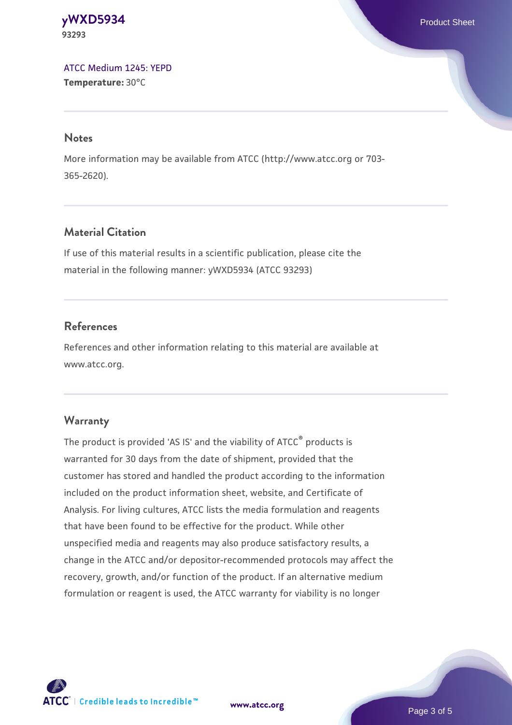#### **[yWXD5934](https://www.atcc.org/products/93293)** Product Sheet **93293**

[ATCC Medium 1245: YEPD](https://www.atcc.org/-/media/product-assets/documents/microbial-media-formulations/1/2/4/5/atcc-medium-1245.pdf?rev=705ca55d1b6f490a808a965d5c072196) **Temperature:** 30°C

#### **Notes**

More information may be available from ATCC (http://www.atcc.org or 703- 365-2620).

# **Material Citation**

If use of this material results in a scientific publication, please cite the material in the following manner: yWXD5934 (ATCC 93293)

# **References**

References and other information relating to this material are available at www.atcc.org.

# **Warranty**

The product is provided 'AS IS' and the viability of ATCC® products is warranted for 30 days from the date of shipment, provided that the customer has stored and handled the product according to the information included on the product information sheet, website, and Certificate of Analysis. For living cultures, ATCC lists the media formulation and reagents that have been found to be effective for the product. While other unspecified media and reagents may also produce satisfactory results, a change in the ATCC and/or depositor-recommended protocols may affect the recovery, growth, and/or function of the product. If an alternative medium formulation or reagent is used, the ATCC warranty for viability is no longer



**[www.atcc.org](http://www.atcc.org)**

Page 3 of 5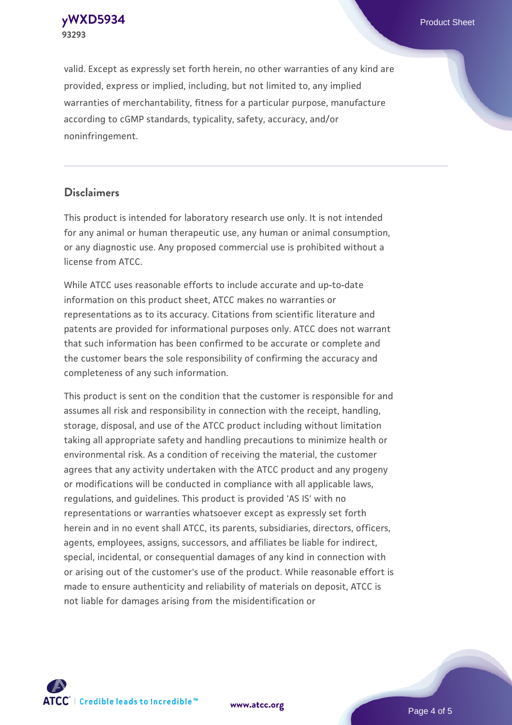**[yWXD5934](https://www.atcc.org/products/93293)** Product Sheet **93293**

valid. Except as expressly set forth herein, no other warranties of any kind are provided, express or implied, including, but not limited to, any implied warranties of merchantability, fitness for a particular purpose, manufacture according to cGMP standards, typicality, safety, accuracy, and/or noninfringement.

#### **Disclaimers**

This product is intended for laboratory research use only. It is not intended for any animal or human therapeutic use, any human or animal consumption, or any diagnostic use. Any proposed commercial use is prohibited without a license from ATCC.

While ATCC uses reasonable efforts to include accurate and up-to-date information on this product sheet, ATCC makes no warranties or representations as to its accuracy. Citations from scientific literature and patents are provided for informational purposes only. ATCC does not warrant that such information has been confirmed to be accurate or complete and the customer bears the sole responsibility of confirming the accuracy and completeness of any such information.

This product is sent on the condition that the customer is responsible for and assumes all risk and responsibility in connection with the receipt, handling, storage, disposal, and use of the ATCC product including without limitation taking all appropriate safety and handling precautions to minimize health or environmental risk. As a condition of receiving the material, the customer agrees that any activity undertaken with the ATCC product and any progeny or modifications will be conducted in compliance with all applicable laws, regulations, and guidelines. This product is provided 'AS IS' with no representations or warranties whatsoever except as expressly set forth herein and in no event shall ATCC, its parents, subsidiaries, directors, officers, agents, employees, assigns, successors, and affiliates be liable for indirect, special, incidental, or consequential damages of any kind in connection with or arising out of the customer's use of the product. While reasonable effort is made to ensure authenticity and reliability of materials on deposit, ATCC is not liable for damages arising from the misidentification or



**[www.atcc.org](http://www.atcc.org)**

Page 4 of 5